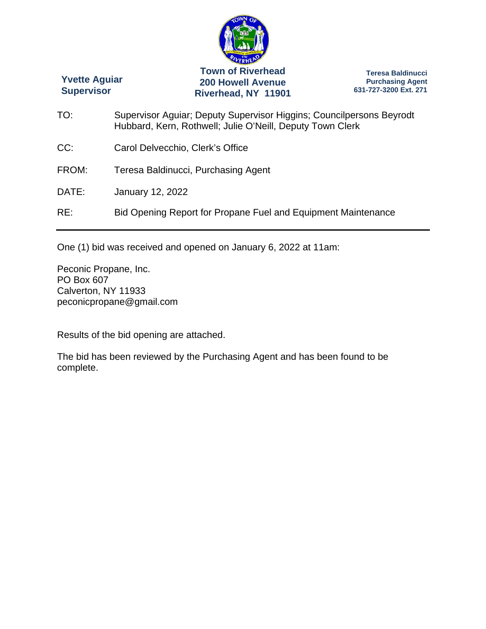

**Yvette Aguiar Supervisor** 

**Town of Riverhead 200 Howell Avenue Riverhead, NY 11901** 

**Teresa Baldinucci Purchasing Agent 631-727-3200 Ext. 271** 

- TO: Supervisor Aguiar; Deputy Supervisor Higgins; Councilpersons Beyrodt Hubbard, Kern, Rothwell; Julie O'Neill, Deputy Town Clerk
- CC: Carol Delvecchio, Clerk's Office
- FROM: Teresa Baldinucci, Purchasing Agent
- DATE: January 12, 2022

RE: Bid Opening Report for Propane Fuel and Equipment Maintenance

One (1) bid was received and opened on January 6, 2022 at 11am:

Peconic Propane, Inc. PO Box 607 Calverton, NY 11933 peconicpropane@gmail.com

Results of the bid opening are attached.

The bid has been reviewed by the Purchasing Agent and has been found to be complete.